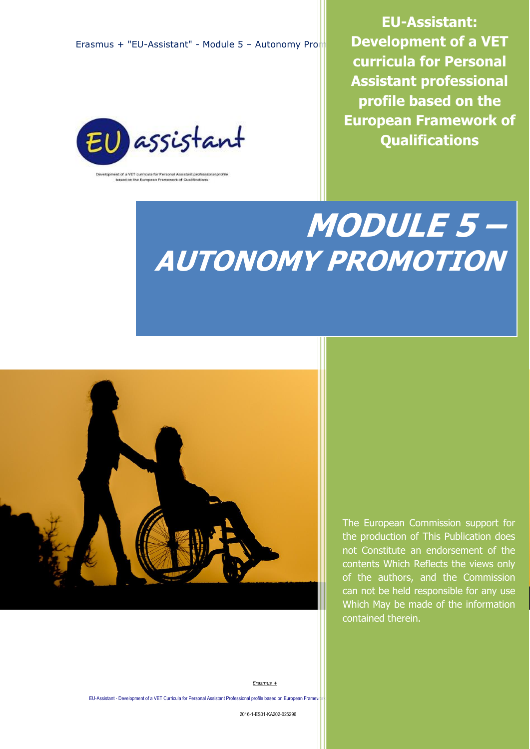Erasmus + "EU-Assistant" - Module 5 – Autonomy Promotion



ent of a VET curricula for Personal Assistant professional profile<br>based on the European Framework of Qualifications

**EU-Assistant: Development of a VET curricula for Personal Assistant professional profile based on the European Framework of Qualifications**

# **MODULE 5 – AUTONOMY PROMOTION**



The European Commission support for the production of This Publication does not Constitute an endorsement of the contents Which Reflects the views only of the authors, and the Commission can not be held responsible for any use Which May be made of the information contained therein.

*Erasmus +*

EU-Assistant - Development of a VET Curricula for Personal Assistant Professional profile based on European Framew

2016-1-ES01-KA202-025296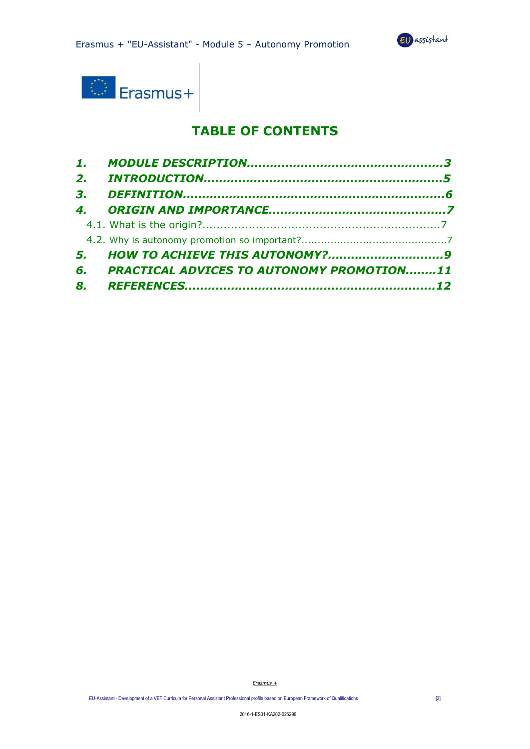



## **TABLE OF CONTENTS**

| 2.             |                                                  |  |
|----------------|--------------------------------------------------|--|
| 3 <sub>r</sub> |                                                  |  |
|                |                                                  |  |
|                |                                                  |  |
|                |                                                  |  |
| 5.             | <b>HOW TO ACHIEVE THIS AUTONOMY?9</b>            |  |
| 6.             | <b>PRACTICAL ADVICES TO AUTONOMY PROMOTION11</b> |  |
| 8.             |                                                  |  |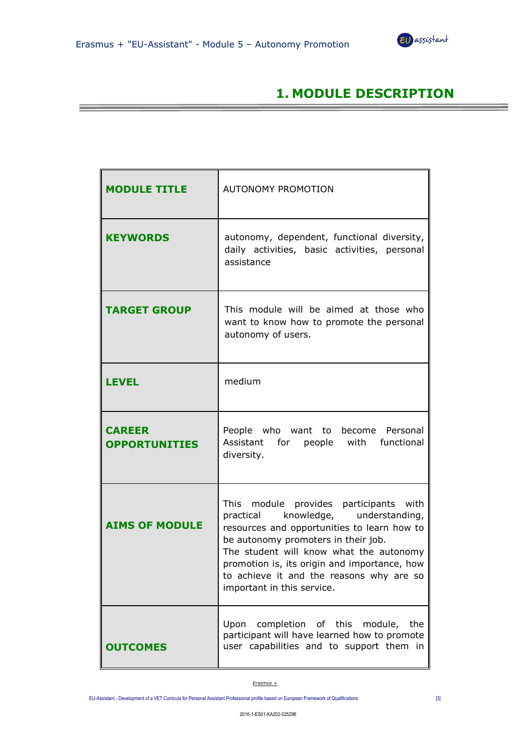

## **1. MODULE DESCRIPTION**

| <b>MODULE TITLE</b>                   | <b>AUTONOMY PROMOTION</b>                                                                                                                                                                                                                                                                                                                   |
|---------------------------------------|---------------------------------------------------------------------------------------------------------------------------------------------------------------------------------------------------------------------------------------------------------------------------------------------------------------------------------------------|
| <b>KEYWORDS</b>                       | autonomy, dependent, functional diversity,<br>daily activities, basic activities, personal<br>assistance                                                                                                                                                                                                                                    |
| <b>TARGET GROUP</b>                   | This module will be aimed at those who<br>want to know how to promote the personal<br>autonomy of users.                                                                                                                                                                                                                                    |
| <b>LEVEL</b>                          | medium                                                                                                                                                                                                                                                                                                                                      |
| <b>CAREER</b><br><b>OPPORTUNITIES</b> | who want to become Personal<br>People<br>Assistant for people with functional<br>diversity.                                                                                                                                                                                                                                                 |
| <b>AIMS OF MODULE</b>                 | This module provides participants with<br>knowledge, understanding,<br>practical<br>resources and opportunities to learn how to<br>be autonomy promoters in their job.<br>The student will know what the autonomy<br>promotion is, its origin and importance, how<br>to achieve it and the reasons why are so<br>important in this service. |
| <b>OUTCOMES</b>                       | Upon completion of this module, the<br>participant will have learned how to promote<br>user capabilities and to support them in                                                                                                                                                                                                             |

*Erasmus +*

EU-Assistant - Development of a VET Curricula for Personal Assistant Professional profile based on European Framework of Qualifications [3]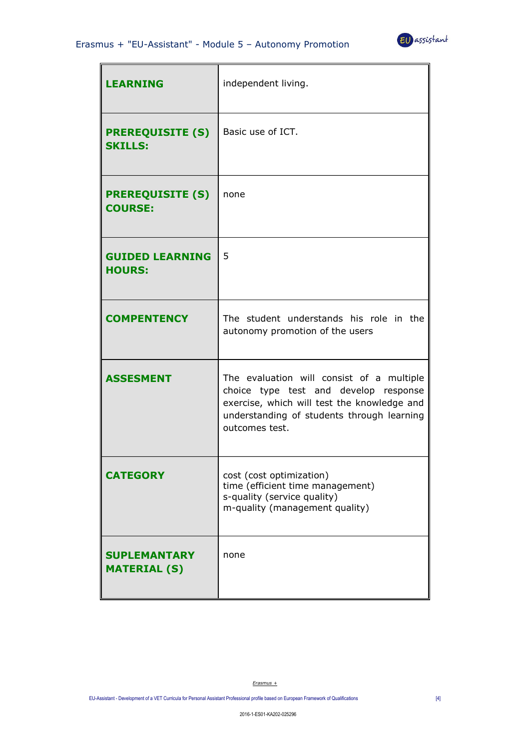

| <b>LEARNING</b>                            | independent living.                                                                                                                                                                               |
|--------------------------------------------|---------------------------------------------------------------------------------------------------------------------------------------------------------------------------------------------------|
| <b>PREREQUISITE (S)</b><br><b>SKILLS:</b>  | Basic use of ICT.                                                                                                                                                                                 |
| <b>PREREQUISITE (S)</b><br><b>COURSE:</b>  | none                                                                                                                                                                                              |
| <b>GUIDED LEARNING</b><br><b>HOURS:</b>    | 5                                                                                                                                                                                                 |
| <b>COMPENTENCY</b>                         | The student understands his role in the<br>autonomy promotion of the users                                                                                                                        |
| <b>ASSESMENT</b>                           | The evaluation will consist of a multiple<br>choice type test and develop response<br>exercise, which will test the knowledge and<br>understanding of students through learning<br>outcomes test. |
| <b>CATEGORY</b>                            | cost (cost optimization)<br>time (efficient time management)<br>s-quality (service quality)<br>m-quality (management quality)                                                                     |
| <b>SUPLEMANTARY</b><br><b>MATERIAL (S)</b> | none                                                                                                                                                                                              |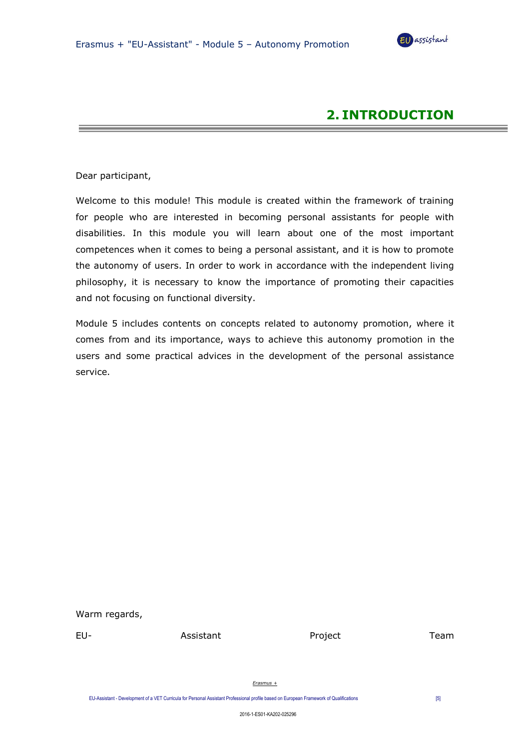

## **2. INTRODUCTION**

Dear participant,

Welcome to this module! This module is created within the framework of training for people who are interested in becoming personal assistants for people with disabilities. In this module you will learn about one of the most important competences when it comes to being a personal assistant, and it is how to promote the autonomy of users. In order to work in accordance with the independent living philosophy, it is necessary to know the importance of promoting their capacities and not focusing on functional diversity.

Module 5 includes contents on concepts related to autonomy promotion, where it comes from and its importance, ways to achieve this autonomy promotion in the users and some practical advices in the development of the personal assistance service.

Warm regards,

EU- Assistant Project Team

*Erasmus +*

EU-Assistant - Development of a VET Curricula for Personal Assistant Professional profile based on European Framework of Qualifications [5]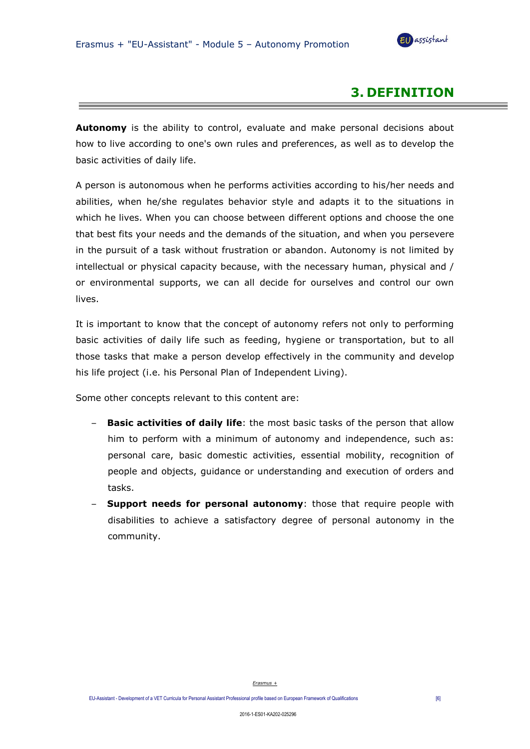

## **3. DEFINITION**

**Autonomy** is the ability to control, evaluate and make personal decisions about how to live according to one's own rules and preferences, as well as to develop the basic activities of daily life.

A person is autonomous when he performs activities according to his/her needs and abilities, when he/she regulates behavior style and adapts it to the situations in which he lives. When you can choose between different options and choose the one that best fits your needs and the demands of the situation, and when you persevere in the pursuit of a task without frustration or abandon. Autonomy is not limited by intellectual or physical capacity because, with the necessary human, physical and / or environmental supports, we can all decide for ourselves and control our own lives.

It is important to know that the concept of autonomy refers not only to performing basic activities of daily life such as feeding, hygiene or transportation, but to all those tasks that make a person develop effectively in the community and develop his life project (i.e. his Personal Plan of Independent Living).

Some other concepts relevant to this content are:

- **Basic activities of daily life**: the most basic tasks of the person that allow him to perform with a minimum of autonomy and independence, such as: personal care, basic domestic activities, essential mobility, recognition of people and objects, guidance or understanding and execution of orders and tasks.
- **Support needs for personal autonomy:** those that require people with disabilities to achieve a satisfactory degree of personal autonomy in the community.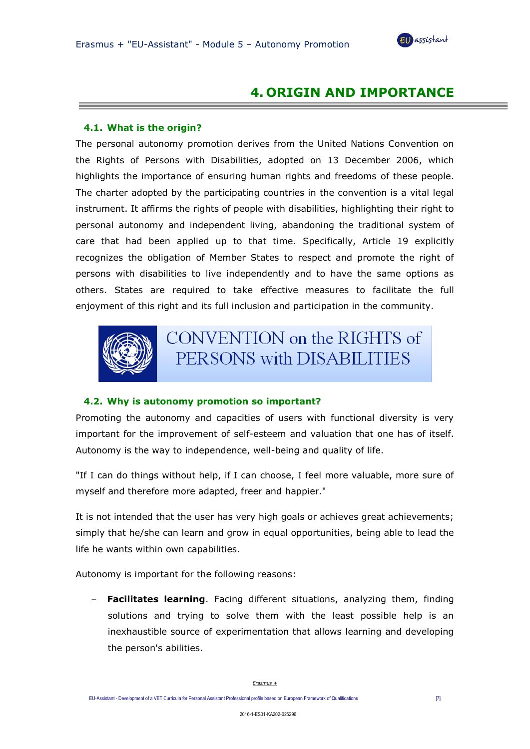

## **4. ORIGIN AND IMPORTANCE**

#### **4.1. What is the origin?**

The personal autonomy promotion derives from the United Nations Convention on the Rights of Persons with Disabilities, adopted on 13 December 2006, which highlights the importance of ensuring human rights and freedoms of these people. The charter adopted by the participating countries in the convention is a vital legal instrument. It affirms the rights of people with disabilities, highlighting their right to personal autonomy and independent living, abandoning the traditional system of care that had been applied up to that time. Specifically, Article 19 explicitly recognizes the obligation of Member States to respect and promote the right of persons with disabilities to live independently and to have the same options as others. States are required to take effective measures to facilitate the full enjoyment of this right and its full inclusion and participation in the community.



CONVENTION on the RIGHTS of PERSONS with DISABILITIES

#### **4.2. Why is autonomy promotion so important?**

Promoting the autonomy and capacities of users with functional diversity is very important for the improvement of self-esteem and valuation that one has of itself. Autonomy is the way to independence, well-being and quality of life.

"If I can do things without help, if I can choose, I feel more valuable, more sure of myself and therefore more adapted, freer and happier."

It is not intended that the user has very high goals or achieves great achievements; simply that he/she can learn and grow in equal opportunities, being able to lead the life he wants within own capabilities.

Autonomy is important for the following reasons:

– **Facilitates learning**. Facing different situations, analyzing them, finding solutions and trying to solve them with the least possible help is an inexhaustible source of experimentation that allows learning and developing the person's abilities.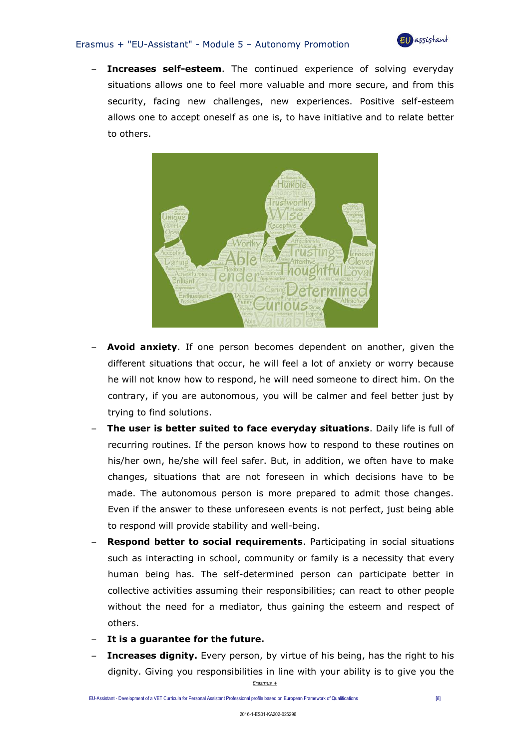#### Erasmus + "EU-Assistant" - Module 5 – Autonomy Promotion



Increases self-esteem. The continued experience of solving everyday situations allows one to feel more valuable and more secure, and from this security, facing new challenges, new experiences. Positive self-esteem allows one to accept oneself as one is, to have initiative and to relate better to others.



- **Avoid anxiety**. If one person becomes dependent on another, given the different situations that occur, he will feel a lot of anxiety or worry because he will not know how to respond, he will need someone to direct him. On the contrary, if you are autonomous, you will be calmer and feel better just by trying to find solutions.
- **The user is better suited to face everyday situations**. Daily life is full of recurring routines. If the person knows how to respond to these routines on his/her own, he/she will feel safer. But, in addition, we often have to make changes, situations that are not foreseen in which decisions have to be made. The autonomous person is more prepared to admit those changes. Even if the answer to these unforeseen events is not perfect, just being able to respond will provide stability and well-being.
- **Respond better to social requirements**. Participating in social situations such as interacting in school, community or family is a necessity that every human being has. The self-determined person can participate better in collective activities assuming their responsibilities; can react to other people without the need for a mediator, thus gaining the esteem and respect of others.
- **It is a guarantee for the future.**
- *Erasmus +* **Increases dignity.** Every person, by virtue of his being, has the right to his dignity. Giving you responsibilities in line with your ability is to give you the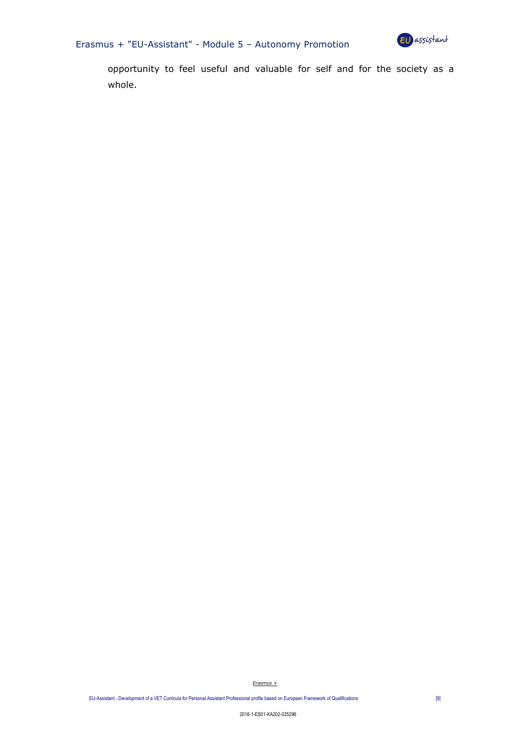



opportunity to feel useful and valuable for self and for the society as a whole.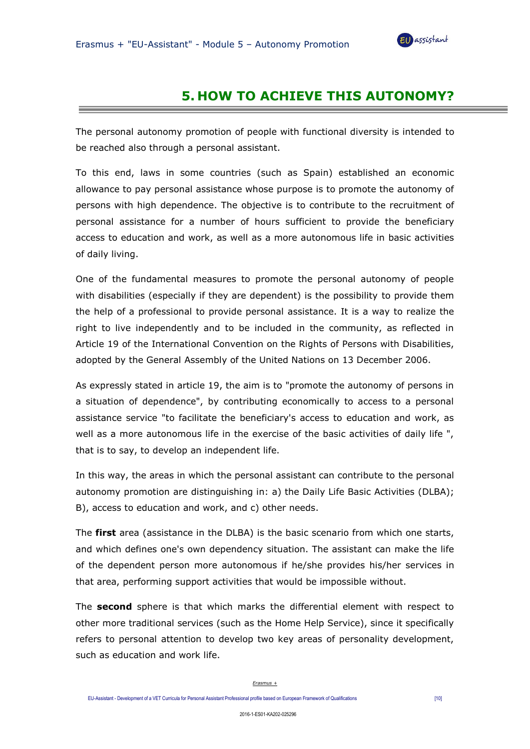

## **5. HOW TO ACHIEVE THIS AUTONOMY?**

The personal autonomy promotion of people with functional diversity is intended to be reached also through a personal assistant.

To this end, laws in some countries (such as Spain) established an economic allowance to pay personal assistance whose purpose is to promote the autonomy of persons with high dependence. The objective is to contribute to the recruitment of personal assistance for a number of hours sufficient to provide the beneficiary access to education and work, as well as a more autonomous life in basic activities of daily living.

One of the fundamental measures to promote the personal autonomy of people with disabilities (especially if they are dependent) is the possibility to provide them the help of a professional to provide personal assistance. It is a way to realize the right to live independently and to be included in the community, as reflected in Article 19 of the International Convention on the Rights of Persons with Disabilities, adopted by the General Assembly of the United Nations on 13 December 2006.

As expressly stated in article 19, the aim is to "promote the autonomy of persons in a situation of dependence", by contributing economically to access to a personal assistance service "to facilitate the beneficiary's access to education and work, as well as a more autonomous life in the exercise of the basic activities of daily life ", that is to say, to develop an independent life.

In this way, the areas in which the personal assistant can contribute to the personal autonomy promotion are distinguishing in: a) the Daily Life Basic Activities (DLBA); B), access to education and work, and c) other needs.

The **first** area (assistance in the DLBA) is the basic scenario from which one starts, and which defines one's own dependency situation. The assistant can make the life of the dependent person more autonomous if he/she provides his/her services in that area, performing support activities that would be impossible without.

The **second** sphere is that which marks the differential element with respect to other more traditional services (such as the Home Help Service), since it specifically refers to personal attention to develop two key areas of personality development, such as education and work life.

#### *Erasmus +*

EU-Assistant - Development of a VET Curricula for Personal Assistant Professional profile based on European Framework of Qualifications [10]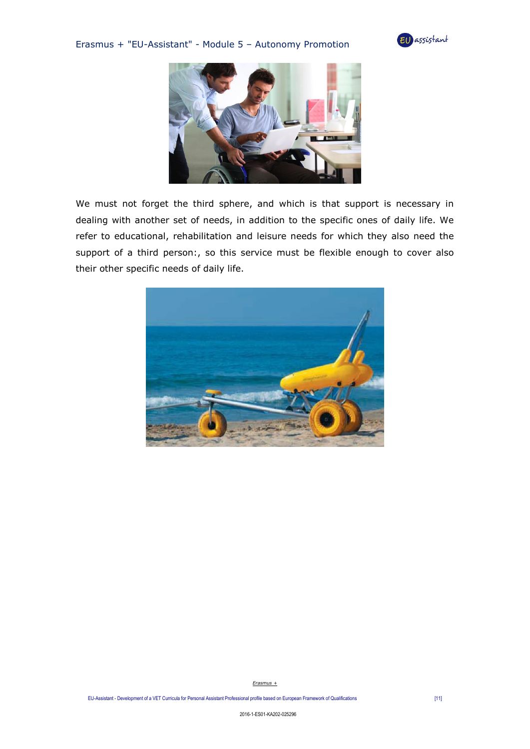### Erasmus + "EU-Assistant" - Module 5 – Autonomy Promotion





We must not forget the third sphere, and which is that support is necessary in dealing with another set of needs, in addition to the specific ones of daily life. We refer to educational, rehabilitation and leisure needs for which they also need the support of a third person:, so this service must be flexible enough to cover also their other specific needs of daily life.

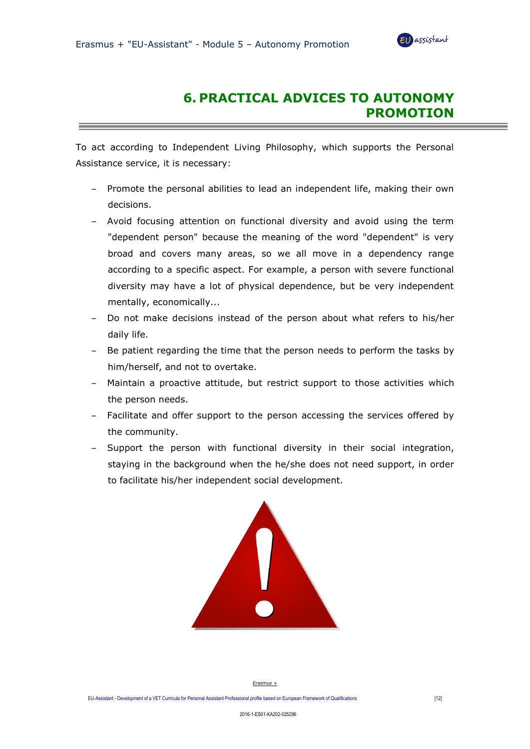the control of the control of the control of the control of the control of the control of



## **6. PRACTICAL ADVICES TO AUTONOMY PROMOTION**

To act according to Independent Living Philosophy, which supports the Personal Assistance service, it is necessary:

- Promote the personal abilities to lead an independent life, making their own decisions.
- Avoid focusing attention on functional diversity and avoid using the term "dependent person" because the meaning of the word "dependent" is very broad and covers many areas, so we all move in a dependency range according to a specific aspect. For example, a person with severe functional diversity may have a lot of physical dependence, but be very independent mentally, economically...
- Do not make decisions instead of the person about what refers to his/her daily life.
- Be patient regarding the time that the person needs to perform the tasks by him/herself, and not to overtake.
- Maintain a proactive attitude, but restrict support to those activities which the person needs.
- Facilitate and offer support to the person accessing the services offered by the community.
- Support the person with functional diversity in their social integration, staying in the background when the he/she does not need support, in order to facilitate his/her independent social development.